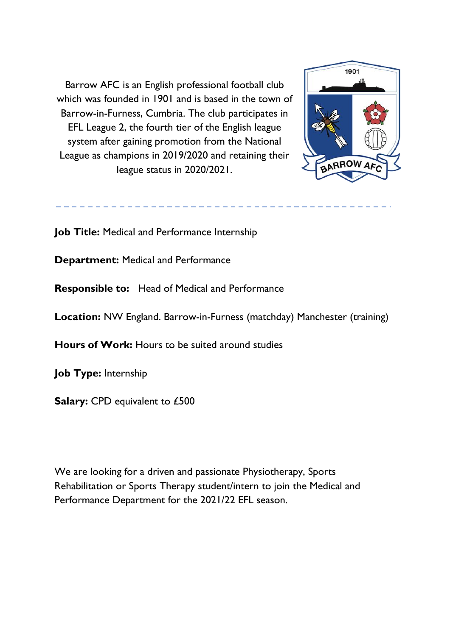Barrow AFC is an English professional football club which was founded in 1901 and is based in the town of Barrow-in-Furness, Cumbria. The club participates in EFL League 2, the fourth tier of the English league system after gaining promotion from the National League as champions in 2019/2020 and retaining their league status in 2020/2021.



**Job Title:** Medical and Performance Internship

**Department:** Medical and Performance

**Responsible to:** Head of Medical and Performance

**Location:** NW England. Barrow-in-Furness (matchday) Manchester (training)

**Hours of Work:** Hours to be suited around studies

**Job Type:** Internship

**Salary:** CPD equivalent to £500

We are looking for a driven and passionate Physiotherapy, Sports Rehabilitation or Sports Therapy student/intern to join the Medical and Performance Department for the 2021/22 EFL season.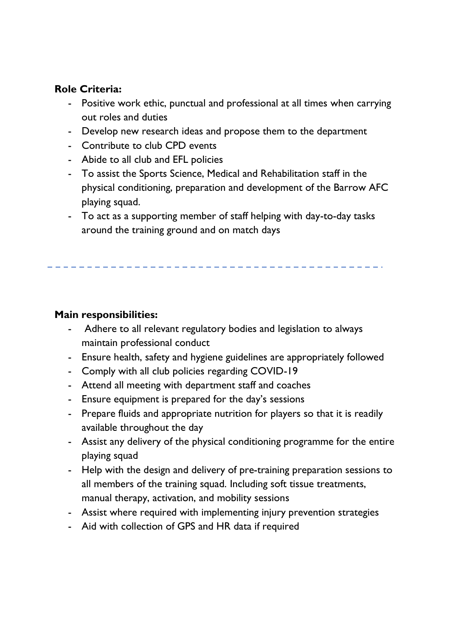## **Role Criteria:**

- Positive work ethic, punctual and professional at all times when carrying out roles and duties
- Develop new research ideas and propose them to the department
- Contribute to club CPD events
- Abide to all club and EFL policies
- To assist the Sports Science, Medical and Rehabilitation staff in the physical conditioning, preparation and development of the Barrow AFC playing squad.
- To act as a supporting member of staff helping with day-to-day tasks around the training ground and on match days

## **Main responsibilities:**

- Adhere to all relevant regulatory bodies and legislation to always maintain professional conduct
- Ensure health, safety and hygiene guidelines are appropriately followed
- Comply with all club policies regarding COVID-19
- Attend all meeting with department staff and coaches
- Ensure equipment is prepared for the day's sessions
- Prepare fluids and appropriate nutrition for players so that it is readily available throughout the day
- Assist any delivery of the physical conditioning programme for the entire playing squad
- Help with the design and delivery of pre-training preparation sessions to all members of the training squad. Including soft tissue treatments, manual therapy, activation, and mobility sessions
- Assist where required with implementing injury prevention strategies
- Aid with collection of GPS and HR data if required